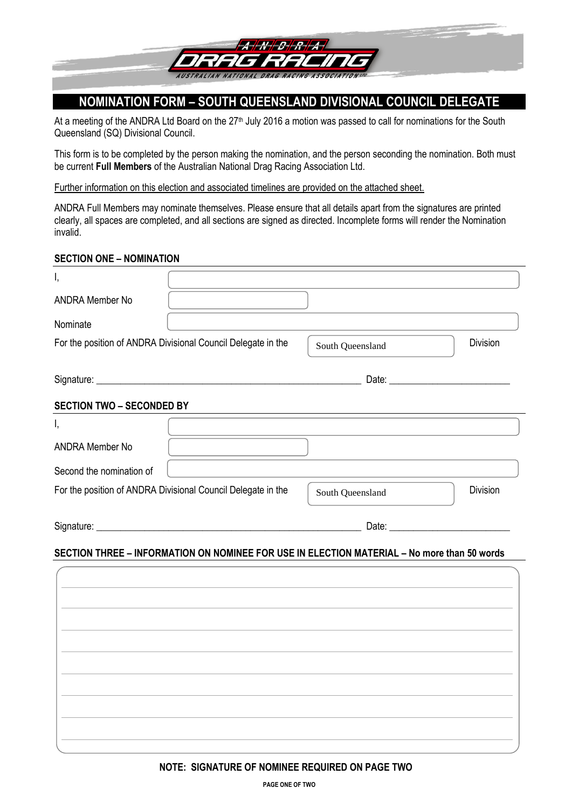

# **NOMINATION FORM – SOUTH QUEENSLAND DIVISIONAL COUNCIL DELEGATE**

At a meeting of the ANDRA Ltd Board on the 27<sup>th</sup> July 2016 a motion was passed to call for nominations for the South Queensland (SQ) Divisional Council.

This form is to be completed by the person making the nomination, and the person seconding the nomination. Both must be current **Full Members** of the Australian National Drag Racing Association Ltd.

Further information on this election and associated timelines are provided on the attached sheet.

ANDRA Full Members may nominate themselves. Please ensure that all details apart from the signatures are printed clearly, all spaces are completed, and all sections are signed as directed. Incomplete forms will render the Nomination invalid.

## **SECTION ONE – NOMINATION**

| I,                                                           |                                                                                             |                  |                 |
|--------------------------------------------------------------|---------------------------------------------------------------------------------------------|------------------|-----------------|
| <b>ANDRA Member No</b>                                       |                                                                                             |                  |                 |
| Nominate                                                     |                                                                                             |                  |                 |
| For the position of ANDRA Divisional Council Delegate in the |                                                                                             | South Queensland | <b>Division</b> |
|                                                              |                                                                                             |                  |                 |
| <b>SECTION TWO - SECONDED BY</b>                             |                                                                                             |                  |                 |
| Ι,                                                           |                                                                                             |                  |                 |
| <b>ANDRA Member No</b>                                       |                                                                                             |                  |                 |
| Second the nomination of                                     |                                                                                             |                  |                 |
| For the position of ANDRA Divisional Council Delegate in the |                                                                                             | South Queensland | <b>Division</b> |
|                                                              |                                                                                             |                  |                 |
|                                                              | SECTION THREE - INFORMATION ON NOMINEE FOR USE IN ELECTION MATERIAL - No more than 50 words |                  |                 |
|                                                              |                                                                                             |                  |                 |
|                                                              |                                                                                             |                  |                 |
|                                                              |                                                                                             |                  |                 |
|                                                              |                                                                                             |                  |                 |
|                                                              |                                                                                             |                  |                 |
|                                                              |                                                                                             |                  |                 |
|                                                              |                                                                                             |                  |                 |
|                                                              |                                                                                             |                  |                 |
|                                                              |                                                                                             |                  |                 |

**NOTE: SIGNATURE OF NOMINEE REQUIRED ON PAGE TWO**

**PAGE ONE OF TWO**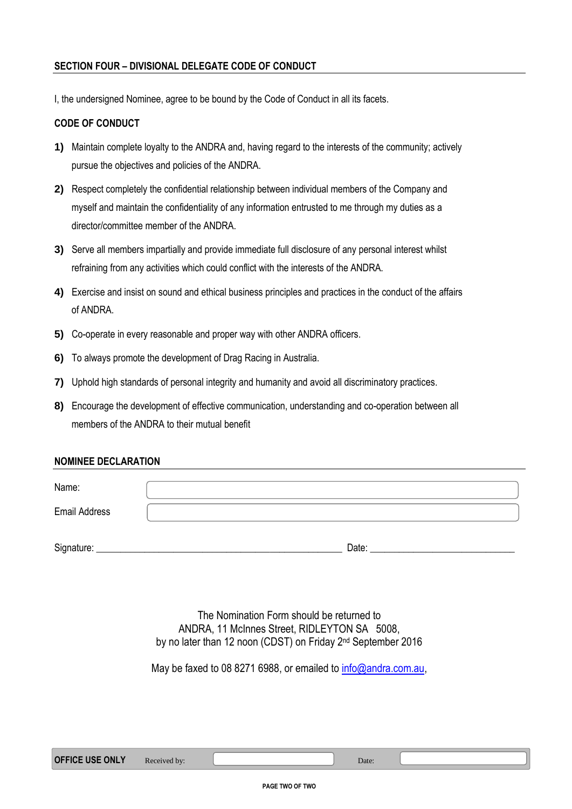# **SECTION FOUR – DIVISIONAL DELEGATE CODE OF CONDUCT**

I, the undersigned Nominee, agree to be bound by the Code of Conduct in all its facets.

# **CODE OF CONDUCT**

- **1)** Maintain complete loyalty to the ANDRA and, having regard to the interests of the community; actively pursue the objectives and policies of the ANDRA.
- **2)** Respect completely the confidential relationship between individual members of the Company and myself and maintain the confidentiality of any information entrusted to me through my duties as a director/committee member of the ANDRA.
- **3)** Serve all members impartially and provide immediate full disclosure of any personal interest whilst refraining from any activities which could conflict with the interests of the ANDRA.
- **4)** Exercise and insist on sound and ethical business principles and practices in the conduct of the affairs of ANDRA.
- **5)** Co-operate in every reasonable and proper way with other ANDRA officers.
- **6)** To always promote the development of Drag Racing in Australia.
- **7)** Uphold high standards of personal integrity and humanity and avoid all discriminatory practices.
- **8)** Encourage the development of effective communication, understanding and co-operation between all members of the ANDRA to their mutual benefit

## **NOMINEE DECLARATION**

| Name:                |       |
|----------------------|-------|
| <b>Email Address</b> |       |
| Signature:           | Date: |

The Nomination Form should be returned to ANDRA, 11 McInnes Street, RIDLEYTON SA 5008, by no later than 12 noon (CDST) on Friday 2<sup>nd</sup> September 2016

May be faxed to 08 8271 6988, or emailed to info@andra.com.au.

| <b>OFFICE USE ONLY</b> | Received by: | Date: |
|------------------------|--------------|-------|
|                        |              |       |